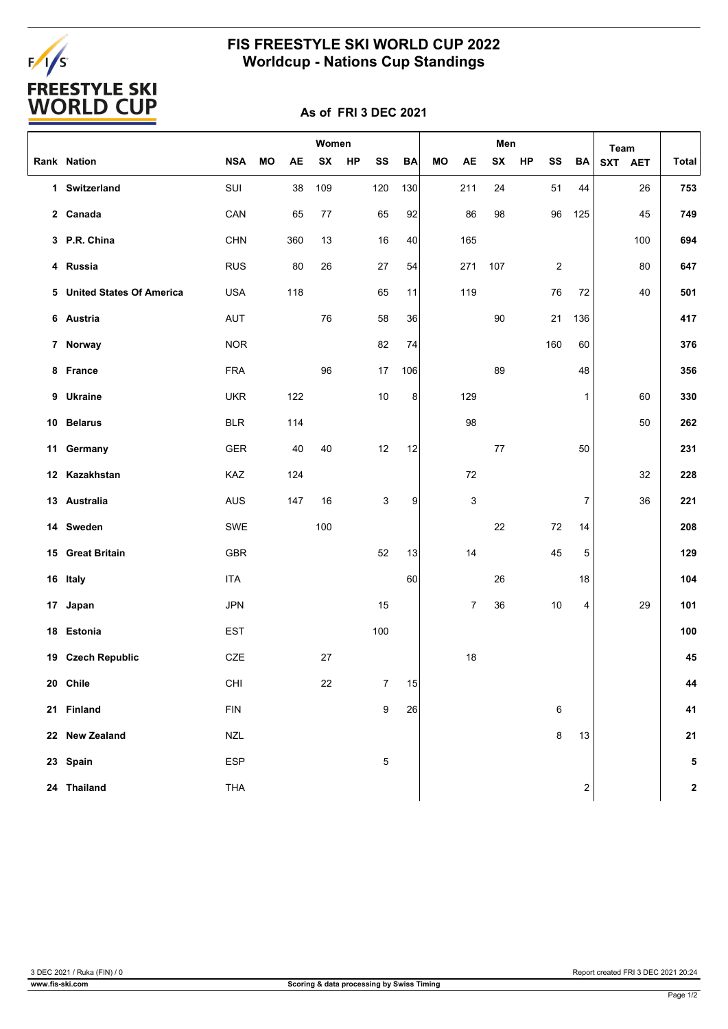# FALS<br>FREESTYLE SKI<br>WORLD CUP

### **FIS FREESTYLE SKI WORLD CUP 2022 Worldcup - Nations Cup Standings**

#### **As of FRI 3 DEC 2021**

|                            |            |    | Women     |     |    |                  | Men       |    |           |     | Team |                |                         |         |     |              |
|----------------------------|------------|----|-----------|-----|----|------------------|-----------|----|-----------|-----|------|----------------|-------------------------|---------|-----|--------------|
| Rank Nation                | <b>NSA</b> | MO | <b>AE</b> | SX  | HP | SS               | <b>BA</b> | MO | <b>AE</b> | SX  | HP   | SS             | ВA                      | SXT AET |     | <b>Total</b> |
| 1 Switzerland              | SUI        |    | 38        | 109 |    | 120              | 130       |    | 211       | 24  |      | 51             | 44                      |         | 26  | 753          |
| 2 Canada                   | CAN        |    | 65        | 77  |    | 65               | 92        |    | 86        | 98  |      | 96             | 125                     |         | 45  | 749          |
| 3 P.R. China               | <b>CHN</b> |    | 360       | 13  |    | 16               | 40        |    | 165       |     |      |                |                         |         | 100 | 694          |
| 4 Russia                   | <b>RUS</b> |    | 80        | 26  |    | 27               | 54        |    | 271       | 107 |      | $\overline{c}$ |                         |         | 80  | 647          |
| 5 United States Of America | <b>USA</b> |    | 118       |     |    | 65               | 11        |    | 119       |     |      | 76             | 72                      |         | 40  | 501          |
| 6 Austria                  | <b>AUT</b> |    |           | 76  |    | 58               | 36        |    |           | 90  |      | 21             | 136                     |         |     | 417          |
| 7 Norway                   | <b>NOR</b> |    |           |     |    | 82               | 74        |    |           |     |      | 160            | 60                      |         |     | 376          |
| 8 France                   | <b>FRA</b> |    |           | 96  |    | 17               | 106       |    |           | 89  |      |                | 48                      |         |     | 356          |
| 9 Ukraine                  | <b>UKR</b> |    | 122       |     |    | 10               | 8         |    | 129       |     |      |                | 1                       |         | 60  | 330          |
| 10 Belarus                 | <b>BLR</b> |    | 114       |     |    |                  |           |    | 98        |     |      |                |                         |         | 50  | 262          |
| 11 Germany                 | <b>GER</b> |    | 40        | 40  |    | 12               | 12        |    |           | 77  |      |                | 50                      |         |     | 231          |
| 12 Kazakhstan              | KAZ        |    | 124       |     |    |                  |           |    | 72        |     |      |                |                         |         | 32  | 228          |
| 13 Australia               | AUS        |    | 147       | 16  |    | 3                | 9         |    | 3         |     |      |                | 7                       |         | 36  | 221          |
| 14 Sweden                  | SWE        |    |           | 100 |    |                  |           |    |           | 22  |      | 72             | 14                      |         |     | 208          |
| 15 Great Britain           | GBR        |    |           |     |    | 52               | 13        |    | 14        |     |      | 45             | 5                       |         |     | 129          |
| 16 Italy                   | <b>ITA</b> |    |           |     |    |                  | 60        |    |           | 26  |      |                | 18                      |         |     | 104          |
| 17 Japan                   | <b>JPN</b> |    |           |     |    | 15               |           |    | 7         | 36  |      | 10             | 4                       |         | 29  | 101          |
| 18 Estonia                 | <b>EST</b> |    |           |     |    | 100              |           |    |           |     |      |                |                         |         |     | 100          |
| 19 Czech Republic          | CZE        |    |           | 27  |    |                  |           |    | 18        |     |      |                |                         |         |     | 45           |
| 20 Chile                   | CHI        |    |           | 22  |    | 7                | 15        |    |           |     |      |                |                         |         |     | 44           |
| 21 Finland                 | <b>FIN</b> |    |           |     |    | $\boldsymbol{9}$ | 26        |    |           |     |      | 6              |                         |         |     | 41           |
| 22 New Zealand             | <b>NZL</b> |    |           |     |    |                  |           |    |           |     |      | 8              | 13                      |         |     | 21           |
| 23 Spain                   | ESP        |    |           |     |    | $\mathbf 5$      |           |    |           |     |      |                |                         |         |     | 5            |
| 24 Thailand                | <b>THA</b> |    |           |     |    |                  |           |    |           |     |      |                | $\overline{\mathbf{c}}$ |         |     | $\mathbf 2$  |